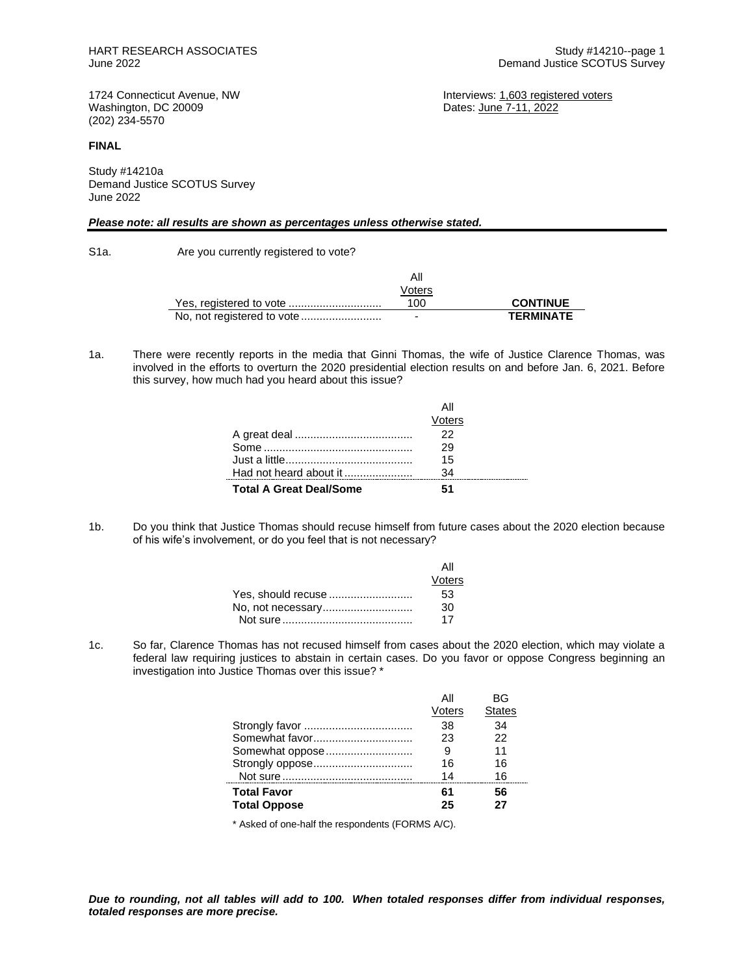Dates: June 7-11, 2022

1724 Connecticut Avenue, NW **Interviews:** 1,603 registered voters<br>
Washington, DC 20009 **Interviews:** Dates: June 7-11, 2022 (202) 234-5570

#### **FINAL**

Study #14210a Demand Justice SCOTUS Survey June 2022

### *Please note: all results are shown as percentages unless otherwise stated.*

S1a. Are you currently registered to vote?

 $\mathbf{r}$ 

 $\overline{a}$ 

| Voters |                  |
|--------|------------------|
| 100    | <b>CONTINUE</b>  |
| -      | <b>TERMINATE</b> |

1a. There were recently reports in the media that Ginni Thomas, the wife of Justice Clarence Thomas, was involved in the efforts to overturn the 2020 presidential election results on and before Jan. 6, 2021. Before this survey, how much had you heard about this issue?

|                                | Voters |  |
|--------------------------------|--------|--|
|                                | 22     |  |
|                                |        |  |
|                                | 29     |  |
|                                | 15     |  |
| Had not heard about it         | -34    |  |
| <b>Total A Great Deal/Some</b> | 51     |  |

1b. Do you think that Justice Thomas should recuse himself from future cases about the 2020 election because of his wife's involvement, or do you feel that is not necessary?

|                    | ΑII    |
|--------------------|--------|
|                    | Voters |
| Yes, should recuse | 53     |
| No, not necessary  | 30     |
|                    | 17     |

1c. So far, Clarence Thomas has not recused himself from cases about the 2020 election, which may violate a [federal law](https://www.law.cornell.edu/uscode/text/28/455) requiring justices to abstain in certain cases. Do you favor or oppose Congress beginning an investigation into Justice Thomas over this issue? \*

|                                           | All<br>Voters | ВG<br><b>States</b> |
|-------------------------------------------|---------------|---------------------|
|                                           | 38            | 34                  |
| Somewhat favor                            | 23            | 22                  |
| Somewhat oppose                           | 9             | 11                  |
|                                           | 16            | 16                  |
|                                           | 14            | 16                  |
| <b>Total Favor</b><br><b>Total Oppose</b> | 61<br>25      | 56<br>27            |

\* Asked of one-half the respondents (FORMS A/C).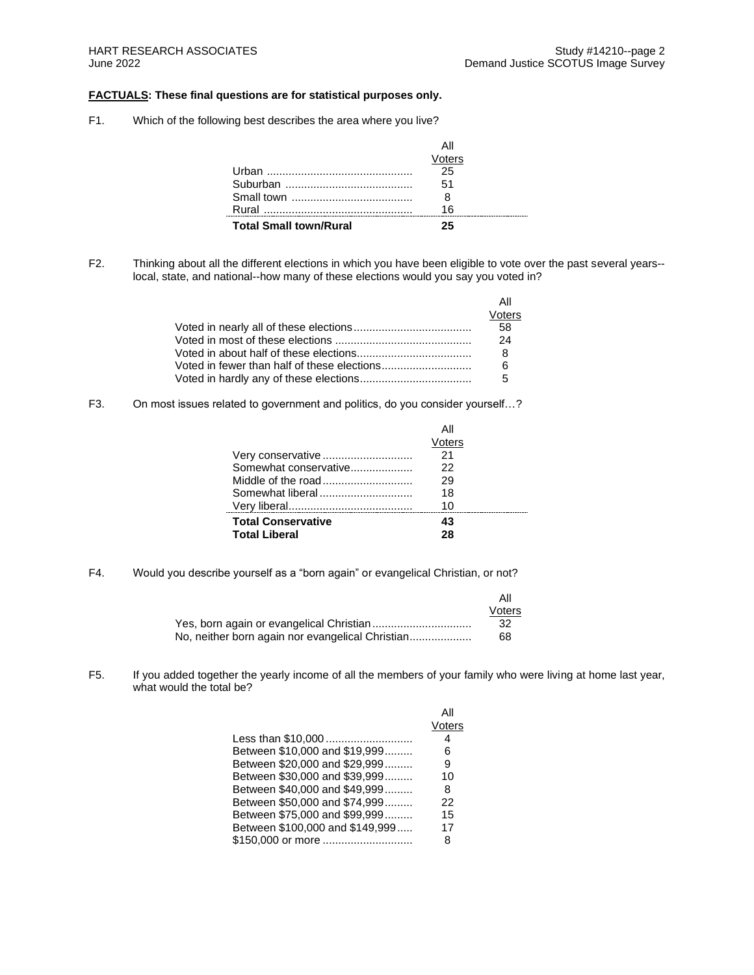## **FACTUALS: These final questions are for statistical purposes only.**

F1. Which of the following best describes the area where you live?

|                               | All    |
|-------------------------------|--------|
|                               | Voters |
|                               | 25     |
|                               | 51     |
|                               |        |
|                               | 16     |
| <b>Total Small town/Rural</b> | クら     |

F2. Thinking about all the different elections in which you have been eligible to vote over the past several years- local, state, and national--how many of these elections would you say you voted in?

| Αll    |
|--------|
| Voters |
| 58     |
| 24     |
| 8      |
| - 6    |
| -5     |

F3. On most issues related to government and politics, do you consider yourself…?

| Very conservative<br>Somewhat conservative<br>Somewhat liberal | Αll<br>Voters<br>21<br>22<br>29<br>18<br>10 |  |
|----------------------------------------------------------------|---------------------------------------------|--|
| <b>Total Conservative</b><br><b>Total Liberal</b>              | 43<br>28                                    |  |

F4. Would you describe yourself as a "born again" or evangelical Christian, or not?

|                                                  | Αll    |
|--------------------------------------------------|--------|
|                                                  | Voters |
| Yes, born again or evangelical Christian         | -32    |
| No, neither born again nor evangelical Christian | 68     |

F5. If you added together the yearly income of all the members of your family who were living at home last year, what would the total be?

|                                 | All    |
|---------------------------------|--------|
|                                 | Voters |
| Less than \$10,000              | 4      |
| Between \$10,000 and \$19.999   | 6      |
| Between \$20,000 and \$29.999   | 9      |
| Between \$30,000 and \$39.999   | 10     |
| Between \$40,000 and \$49,999   | 8      |
| Between \$50,000 and \$74,999   | 22     |
| Between \$75,000 and \$99,999   | 15     |
| Between \$100,000 and \$149,999 | 17     |
| \$150,000 or more               | 8      |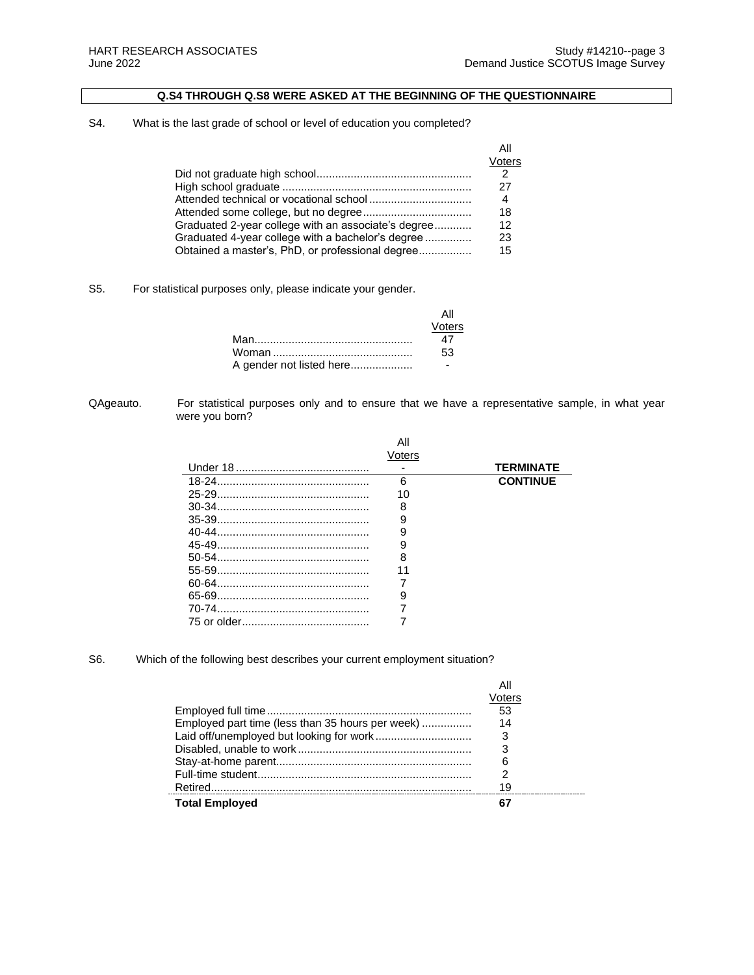# **Q.S4 THROUGH Q.S8 WERE ASKED AT THE BEGINNING OF THE QUESTIONNAIRE**

# S4. What is the last grade of school or level of education you completed?

|                                                     | All<br>Voters |
|-----------------------------------------------------|---------------|
|                                                     |               |
|                                                     | 27            |
|                                                     | 4             |
|                                                     | 18            |
| Graduated 2-year college with an associate's degree | 12            |
| Graduated 4-year college with a bachelor's degree   | 23            |
| Obtained a master's, PhD, or professional degree    | 15            |

### S5. For statistical purposes only, please indicate your gender.

|                          | Voters |
|--------------------------|--------|
|                          | 47     |
|                          | 53     |
| A gender not listed here |        |

#### QAgeauto. For statistical purposes only and to ensure that we have a representative sample, in what year were you born?

|             | Αll<br>Voters |                  |
|-------------|---------------|------------------|
| Under 18    |               | <b>TERMINATE</b> |
| $18-24$     | 6             | <b>CONTINUE</b>  |
| $25 - 29$ . | 10            |                  |
| $30-34$ .   | 8             |                  |
|             | 9             |                  |
| $40 - 44$   | 9             |                  |
| 45-49       | 9             |                  |
| $50-54$     | 8             |                  |
| 55-59.      | 11            |                  |
| 60-64       |               |                  |
| 65-69.      | 9             |                  |
|             |               |                  |
|             |               |                  |

## S6. Which of the following best describes your current employment situation?

|                                                  | /oters |
|--------------------------------------------------|--------|
|                                                  | 53     |
| Employed part time (less than 35 hours per week) | 14     |
|                                                  | 3      |
|                                                  |        |
|                                                  |        |
|                                                  |        |
|                                                  | 19     |
| <b>Total Employed</b>                            |        |